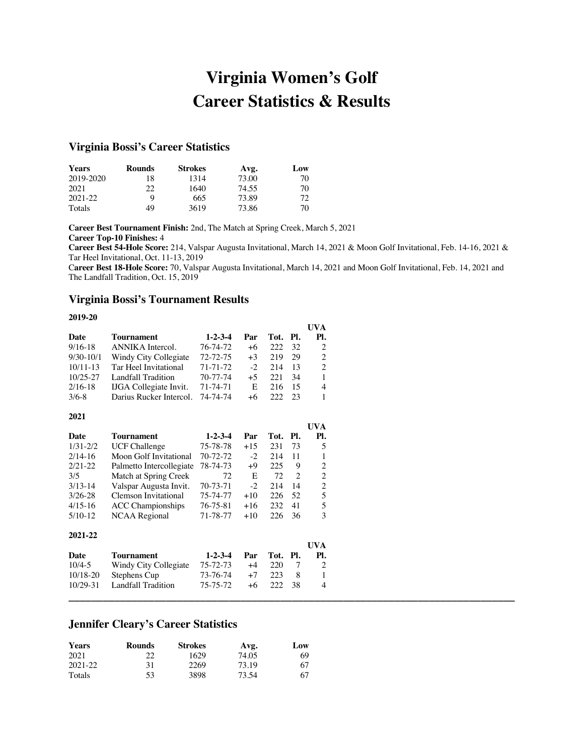# **Virginia Women's Golf Career Statistics & Results**

# **Virginia Bossi's Career Statistics**

| <b>Years</b> | <b>Rounds</b> | <b>Strokes</b> | Avg.  | Low |
|--------------|---------------|----------------|-------|-----|
| 2019-2020    | 18            | 1314           | 73.00 | 70  |
| 2021         | 22            | 1640           | 74.55 | 70  |
| 2021-22      | Q             | 665            | 73.89 | 72  |
| Totals       | 49            | 3619           | 73.86 | 70  |

**Career Best Tournament Finish:** 2nd, The Match at Spring Creek, March 5, 2021 **Career Top-10 Finishes:** 4

**Career Best 54-Hole Score:** 214, Valspar Augusta Invitational, March 14, 2021 & Moon Golf Invitational, Feb. 14-16, 2021 & Tar Heel Invitational, Oct. 11-13, 2019

C**areer Best 18-Hole Score:** 70, Valspar Augusta Invitational, March 14, 2021 and Moon Golf Invitational, Feb. 14, 2021 and The Landfall Tradition, Oct. 15, 2019

**UVA** 

**\_\_\_\_\_\_\_\_\_\_\_\_\_\_\_\_\_\_\_\_\_\_\_\_\_\_\_\_\_\_\_\_\_\_\_\_\_\_\_\_\_\_\_\_\_\_\_\_\_\_\_\_\_\_\_\_\_\_\_\_\_\_\_\_\_\_\_\_\_\_\_\_\_\_\_\_\_\_**

### **Virginia Bossi's Tournament Results**

#### **2019-20**

|              |                               |                 |      |          |     | UVA            |
|--------------|-------------------------------|-----------------|------|----------|-----|----------------|
| Date         | Tournament                    | $1 - 2 - 3 - 4$ | Par  | Tot. Pl. |     | PI.            |
| $9/16-18$    | ANNIKA Intercol.              | 76-74-72        | $+6$ | 222      | 32  | 2              |
| $9/30-10/1$  | Windy City Collegiate         | $72 - 72 - 75$  | $+3$ | 219      | 29  | 2              |
| $10/11 - 13$ | Tar Heel Invitational         | $71 - 71 - 72$  | $-2$ | 214      | 13  | $\mathfrak{D}$ |
| $10/25 - 27$ | Landfall Tradition            | 70-77-74        | $+5$ | 22.1     | -34 | 1              |
| $2/16-18$    | <b>IJGA</b> Collegiate Invit. | 71-74-71        | E    | 216      | 15  | 4              |
| $3/6 - 8$    | Darius Rucker Intercol.       | 74-74-74        | $+6$ | 222      | 23  | 1              |

#### **2021**

|              |                          |                 |       |      |     | UVA            |
|--------------|--------------------------|-----------------|-------|------|-----|----------------|
| Date         | Tournament               | $1 - 2 - 3 - 4$ | Par   | Tot. | PI. | Pl.            |
| $1/31 - 2/2$ | <b>UCF Challenge</b>     | 75-78-78        | $+15$ | 231  | 73  | 5              |
| $2/14-16$    | Moon Golf Invitational   | $70 - 72 - 72$  | $-2$  | 214  | 11  | 1              |
| $2/21 - 22$  | Palmetto Intercollegiate | 78-74-73        | $+9$  | 225  | 9   | $\overline{c}$ |
| 3/5          | Match at Spring Creek    | 72              | E     | 72   | 2   | $\overline{2}$ |
| $3/13 - 14$  | Valspar Augusta Invit.   | 70-73-71        | $-2$  | 214  | 14  | $\overline{2}$ |
| $3/26 - 28$  | Clemson Invitational     | 75-74-77        | $+10$ | 226  | 52  | 5              |
| $4/15-16$    | <b>ACC</b> Championships | 76-75-81        | $+16$ | 232  | 41  | 5              |
| $5/10-12$    | <b>NCAA Regional</b>     | 71-78-77        | $+10$ | 226  | 36  | 3              |
| 2021-22      |                          |                 |       |      |     |                |
|              |                          |                 |       |      |     | UVA            |
| Date         | Tournament               | $1 - 2 - 3 - 4$ | Par   | Tot. | PI. | Pl.            |
| $10/4 - 5$   | Windy City Collegiate    | 75-72-73        | $+4$  | 220  | 7   | $\overline{c}$ |
| $10/18 - 20$ | Stephens Cup             | 73-76-74        | $+7$  | 223  | 8   | 1              |
| $10/29 - 31$ | Landfall Tradition       | 75-75-72        | $+6$  | 222  | 38  | 4              |

# **Jennifer Cleary's Career Statistics**

| <b>Years</b> | <b>Rounds</b> | <b>Strokes</b> | Avg.  | Low |
|--------------|---------------|----------------|-------|-----|
| 2021         | 22            | 1629           | 74.05 | 69  |
| 2021-22      | 31            | 2269           | 73.19 | 67  |
| Totals       | 53            | 3898           | 73.54 | 67  |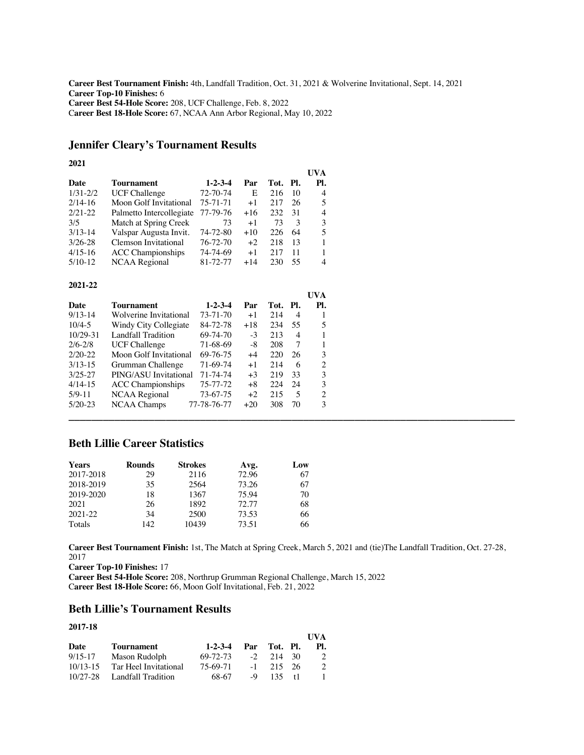**Career Best Tournament Finish:** 4th, Landfall Tradition, Oct. 31, 2021 & Wolverine Invitational, Sept. 14, 2021 **Career Top-10 Finishes:** 6 **Career Best 54-Hole Score:** 208, UCF Challenge, Feb. 8, 2022 C**areer Best 18-Hole Score:** 67, NCAA Ann Arbor Regional, May 10, 2022

# **Jennifer Cleary's Tournament Results**

#### **2021**

|              |                                                |                 |       |      |     | UVA            |
|--------------|------------------------------------------------|-----------------|-------|------|-----|----------------|
| Date         | Tournament                                     | $1 - 2 - 3 - 4$ | Par   | Tot. | PI. | Pl.            |
| $1/31 - 2/2$ | <b>UCF Challenge</b>                           | 72-70-74        | E     | 216  | 10  | 4              |
| $2/14-16$    | Moon Golf Invitational                         | 75-71-71        | $+1$  | 217  | 26  | 5              |
| $2/21 - 22$  | Palmetto Intercollegiate                       | 77-79-76        | $+16$ | 232  | 31  | 4              |
| 3/5          | Match at Spring Creek                          | 73              | $+1$  | 73   | 3   | 3              |
| $3/13 - 14$  | Valspar Augusta Invit.                         | 74-72-80        | $+10$ | 226  | 64  | 5              |
| $3/26 - 28$  | Clemson Invitational                           | 76-72-70        | $+2$  | 218  | 13  | $\mathbf{1}$   |
| $4/15-16$    | <b>ACC Championships</b>                       | 74-74-69        | $+1$  | 217  | 11  | 1              |
| $5/10-12$    | NCAA Regional                                  | 81-72-77        | $+14$ | 230  | 55  | 4              |
| 2021-22      |                                                |                 |       |      |     |                |
|              |                                                |                 |       |      |     | UVA            |
| Date         | Tournament                                     | $1 - 2 - 3 - 4$ | Par   | Tot. | Pl. | PI.            |
| $9/13 - 14$  | Wolverine Invitational                         | 73-71-70        | $+1$  | 214  | 4   | 1              |
| $10/4 - 5$   | Windy City Collegiate                          | 84-72-78        | $+18$ | 234  | 55  | 5              |
| $10/29 - 31$ | <b>Landfall Tradition</b>                      | 69-74-70        | $-3$  | 213  | 4   | 1              |
| $2/6 - 2/8$  |                                                | 71-68-69        | -8    | 208  | 7   | $\mathbf{1}$   |
| $2/20 - 22$  | <b>UCF Challenge</b><br>Moon Golf Invitational | 69-76-75        | $+4$  | 220  | 26  | 3              |
| $3/13 - 15$  | Grumman Challenge                              | 71-69-74        | $+1$  | 214  | 6   | 2              |
| $3/25 - 27$  | PING/ASU Invitational                          | 71-74-74        | $+3$  | 219  | 33  | 3              |
| $4/14-15$    | <b>ACC</b> Championships                       | 75-77-72        | $+8$  | 224  | 24  | 3              |
| $5/9 - 11$   | <b>NCAA</b> Regional                           | 73-67-75        | $+2$  | 215  | 5   | $\overline{c}$ |

# **Beth Lillie Career Statistics**

| <b>Years</b> | <b>Rounds</b> | <b>Strokes</b> | Avg.  | Low |
|--------------|---------------|----------------|-------|-----|
| 2017-2018    | 29            | 2116           | 72.96 | 67  |
| 2018-2019    | 35            | 2564           | 73.26 | 67  |
| 2019-2020    | 18            | 1367           | 75.94 | 70  |
| 2021         | 26            | 1892           | 72.77 | 68  |
| 2021-22      | 34            | 2500           | 73.53 | 66  |
| Totals       | 142           | 10439          | 73.51 | 66  |

5/20-23 NCAA Champs 77-78-76-77 +20 308 70 3

**Career Best Tournament Finish:** 1st, The Match at Spring Creek, March 5, 2021 and (tie)The Landfall Tradition, Oct. 27-28, 2017

**\_\_\_\_\_\_\_\_\_\_\_\_\_\_\_\_\_\_\_\_\_\_\_\_\_\_\_\_\_\_\_\_\_\_\_\_\_\_\_\_\_\_\_\_\_\_\_\_\_\_\_\_\_\_\_\_\_\_\_\_\_\_\_\_\_\_\_\_\_\_\_\_\_\_\_\_\_\_**

**Career Top-10 Finishes:** 17

**Career Best 54-Hole Score:** 208, Northrup Grumman Regional Challenge, March 15, 2022 C**areer Best 18-Hole Score:** 66, Moon Golf Invitational, Feb. 21, 2022

# **Beth Lillie's Tournament Results**

#### **2017-18**

| -------      |                             |                      |      |             | <b>I</b> IVA |
|--------------|-----------------------------|----------------------|------|-------------|--------------|
| Date         | Tournament                  | 1-2-3-4 Par Tot. Pl. |      |             | PL.          |
| $9/15 - 17$  | Mason Rudolph               | 69-72-73             |      | $-2$ 214 30 | $2^{1}$      |
| $10/13 - 15$ | Tar Heel Invitational       | 75-69-71             |      | $-1$ 215 26 | $2^{1}$      |
|              | 10/27-28 Landfall Tradition | 68-67                | $-9$ | $135 + 11$  |              |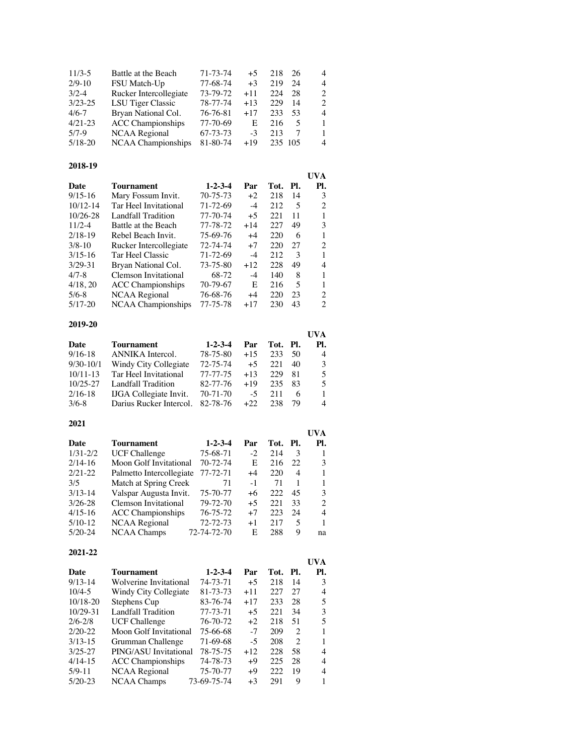| Battle at the Beach      | 71-73-74 | $+5$  | 218 | 26 | 4              |
|--------------------------|----------|-------|-----|----|----------------|
| FSU Match-Up             | 77-68-74 | $+3$  | 219 | 24 | 4              |
| Rucker Intercollegiate   | 73-79-72 | $+11$ | 224 | 28 | $\mathcal{L}$  |
| LSU Tiger Classic        | 78-77-74 | $+13$ | 229 | 14 | $\mathfrak{D}$ |
| Bryan National Col.      | 76-76-81 | $+17$ | 233 | 53 | 4              |
| <b>ACC</b> Championships | 77-70-69 | E     | 216 | 5  | $\mathbf{1}$   |
| NCAA Regional            | 67-73-73 | $-3$  | 213 | 7  | 1              |
| NCAA Championships       | 81-80-74 | $+19$ |     |    | 4              |
|                          |          |       |     |    | 235 105        |

# **2018-19**

| 2010-12      |                          |                 |       |      |               |                |
|--------------|--------------------------|-----------------|-------|------|---------------|----------------|
|              |                          |                 |       |      |               | UVA            |
| Date         | Tournament               | $1 - 2 - 3 - 4$ | Par   | Tot. | Pl.           | Pl.            |
| $9/15 - 16$  | Mary Fossum Invit.       | 70-75-73        | $+2$  | 218  | 14            | 3              |
| $10/12 - 14$ | Tar Heel Invitational    | 71-72-69        | -4    | 212  | 5             | $\overline{c}$ |
| $10/26 - 28$ | Landfall Tradition       | 77-70-74        | $+5$  | 221  | 11            | 1              |
| $11/2 - 4$   | Battle at the Beach      | 77-78-72        | $+14$ | 227  | 49            | 3              |
| $2/18-19$    | Rebel Beach Invit.       | 75-69-76        | $+4$  | 220  | 6             | 1              |
| $3/8 - 10$   | Rucker Intercollegiate   | 72-74-74        | $+7$  | 220  | 27            | 2              |
| $3/15 - 16$  | Tar Heel Classic         | 71-72-69        | -4    | 212  | $\mathcal{R}$ |                |
| $3/29 - 31$  | Bryan National Col.      | 73-75-80        | $+12$ | 228  | 49            | 4              |
| $4/7 - 8$    | Clemson Invitational     | 68-72           | $-4$  | 140  | 8             | 1              |
| 4/18, 20     | <b>ACC</b> Championships | 70-79-67        | E     | 216  | 5             | 1              |
| $5/6 - 8$    | NCAA Regional            | 76-68-76        | $+4$  | 220  | 23            | $\overline{c}$ |
| $5/17-20$    | NCAA Championships       | 77-75-78        | $+17$ | 230  | 43            | $\mathfrak{D}$ |
|              |                          |                 |       |      |               |                |

### **2019-20**

|              |                               |                 |       |          |    | UVA            |
|--------------|-------------------------------|-----------------|-------|----------|----|----------------|
| Date         | Tournament                    | $1 - 2 - 3 - 4$ | Par   | Tot. Pl. |    | PI.            |
| $9/16 - 18$  | ANNIKA Intercol.              | 78-75-80        | $+15$ | 233      | 50 | $\overline{4}$ |
| $9/30-10/1$  | Windy City Collegiate         | 72-75-74        | $+5$  | 22.1     | 40 | 3              |
| $10/11 - 13$ | Tar Heel Invitational         | 77-77-75        | $+13$ | 229      | 81 | 5              |
| $10/25 - 27$ | Landfall Tradition            | 82-77-76        | $+19$ | 235      | 83 | 5              |
| $2/16-18$    | <b>IJGA</b> Collegiate Invit. | $70 - 71 - 70$  | $-5$  | 211      | 6  |                |
| $3/6 - 8$    | Darius Rucker Intercol.       | 82-78-76        | $+22$ | 238      | 79 | 4              |

### **2021**

|                          |                 |                                                                                                                      |      |    | UVA      |
|--------------------------|-----------------|----------------------------------------------------------------------------------------------------------------------|------|----|----------|
| Tournament               | $1 - 2 - 3 - 4$ | Par                                                                                                                  |      |    | PI.      |
| <b>UCF Challenge</b>     | 75-68-71        | $-2$                                                                                                                 | 214  | 3  |          |
|                          | 70-72-74        | E                                                                                                                    | 216  | 22 | 3        |
|                          | 77-72-71        | $+4$                                                                                                                 | 220  | 4  |          |
|                          | 71              | $-1$                                                                                                                 | 71   |    |          |
|                          | 75-70-77        | +6                                                                                                                   | 222  | 45 | 3        |
| Clemson Invitational     | 79-72-70        | $+5$                                                                                                                 | 22.1 | 33 | 2        |
| <b>ACC</b> Championships | 76-75-72        | $+7$                                                                                                                 | 223  | 24 | 4        |
| NCAA Regional            | 72-72-73        | $+1$                                                                                                                 | 217  | 5  | 1        |
| <b>NCAA Champs</b>       |                 | E                                                                                                                    | 288  | 9  | na       |
|                          |                 | Moon Golf Invitational<br>Palmetto Intercollegiate<br>Match at Spring Creek<br>Valspar Augusta Invit.<br>72-74-72-70 |      |    | Tot. Pl. |

### **2021-22**

|              |                          |                 |       |      |                | UVA            |
|--------------|--------------------------|-----------------|-------|------|----------------|----------------|
| Date         | <b>Tournament</b>        | $1 - 2 - 3 - 4$ | Par   | Tot. | PI.            | Pl.            |
| $9/13 - 14$  | Wolverine Invitational   | 74-73-71        | $+5$  | 218  | 14             | 3              |
| $10/4 - 5$   | Windy City Collegiate    | 81-73-73        | $+11$ | 227  | 27             | 4              |
| $10/18 - 20$ | Stephens Cup             | 83-76-74        | $+17$ | 233  | 28             | 5              |
| $10/29 - 31$ | Landfall Tradition       | 77-73-71        | $+5$  | 221  | 34             | 3              |
| $2/6 - 2/8$  | <b>UCF Challenge</b>     | 76-70-72        | $+2$  | 218  | 51             | $\overline{5}$ |
| $2/20-22$    | Moon Golf Invitational   | 75-66-68        | $-7$  | 209  | $\overline{c}$ |                |
| $3/13 - 15$  | Grumman Challenge        | 71-69-68        | $-5$  | 208  | $\mathfrak{D}$ |                |
| $3/25 - 27$  | PING/ASU Invitational    | 78-75-75        | $+12$ | 228  | 58             | 4              |
| $4/14-15$    | <b>ACC</b> Championships | 74-78-73        | $+9$  | 225  | 28             | 4              |
| $5/9 - 11$   | NCAA Regional            | 75-70-77        | $+9$  | 222  | 19             | 4              |
| $5/20-23$    | NCAA Champs              | 73-69-75-74     | $+3$  | 291  | 9              |                |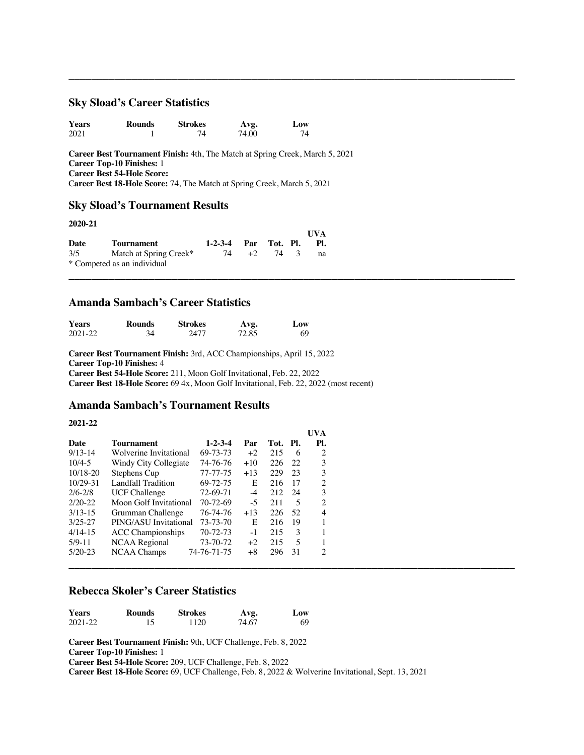### **Sky Sload's Career Statistics**

| <b>Years</b> | <b>Rounds</b> | <b>Strokes</b> | Avg.  | Low |
|--------------|---------------|----------------|-------|-----|
| 2021         |               |                | 74.00 |     |

**Career Best Tournament Finish:** 4th, The Match at Spring Creek, March 5, 2021 **Career Top-10 Finishes:** 1 **Career Best 54-Hole Score:** C**areer Best 18-Hole Score:** 74, The Match at Spring Creek, March 5, 2021

**\_\_\_\_\_\_\_\_\_\_\_\_\_\_\_\_\_\_\_\_\_\_\_\_\_\_\_\_\_\_\_\_\_\_\_\_\_\_\_\_\_\_\_\_\_\_\_\_\_\_\_\_\_\_\_\_\_\_\_\_\_\_\_\_\_\_\_\_\_\_\_\_\_\_\_\_\_\_**

**UVA**

**UVA** 

**\_\_\_\_\_\_\_\_\_\_\_\_\_\_\_\_\_\_\_\_\_\_\_\_\_\_\_\_\_\_\_\_\_\_\_\_\_\_\_\_\_\_\_\_\_\_\_\_\_\_\_\_\_\_\_\_\_\_\_\_\_\_\_\_\_\_\_\_\_\_\_\_\_\_\_\_\_\_**

# **Sky Sload's Tournament Results**

#### **2020-21**

|      |                             |                      |      |      | UVA |
|------|-----------------------------|----------------------|------|------|-----|
| Date | Tournament                  | 1-2-3-4 Par Tot. Pl. |      |      | -PL |
| 3/5  | Match at Spring Creek*      | 74                   | $+2$ | 74 3 | na  |
|      | * Competed as an individual |                      |      |      |     |

# **Amanda Sambach's Career Statistics**

| <b>Years</b> | <b>Rounds</b> | <b>Strokes</b> | Avg.  | Low |
|--------------|---------------|----------------|-------|-----|
| $2021 - 22$  | 34            | 2477           | 72.85 | 69  |

**Career Best Tournament Finish:** 3rd, ACC Championships, April 15, 2022 **Career Top-10 Finishes:** 4 **Career Best 54-Hole Score:** 211, Moon Golf Invitational, Feb. 22, 2022 **Career Best 18-Hole Score:** 69 4x, Moon Golf Invitational, Feb. 22, 2022 (most recent)

# **Amanda Sambach's Tournament Results**

#### **2021-22**

|              |                          |                 |       |          |      | U V A |
|--------------|--------------------------|-----------------|-------|----------|------|-------|
| Date         | <b>Tournament</b>        | $1 - 2 - 3 - 4$ | Par   | Tot. Pl. |      | Pl.   |
| $9/13-14$    | Wolverine Invitational   | 69-73-73        | $+2$  | 215      | -6   | 2     |
| $10/4 - 5$   | Windy City Collegiate    | 74-76-76        | $+10$ | 226      | -22  | 3     |
| 10/18-20     | Stephens Cup             | 77-77-75        | $+13$ | 229      | - 23 | 3     |
| $10/29 - 31$ | Landfall Tradition       | 69-72-75        | E     | 216      | -17  | 2     |
| $2/6 - 2/8$  | <b>UCF Challenge</b>     | 72-69-71        | $-4$  | 212      | - 24 | 3     |
| $2/20-22$    | Moon Golf Invitational   | 70-72-69        | $-5$  | 211      | 5    | 2     |
| $3/13-15$    | Grumman Challenge        | 76-74-76        | $+13$ | 226      | -52  | 4     |
| $3/25 - 27$  | PING/ASU Invitational    | 73-73-70        | E     | 216      | - 19 |       |
| $4/14-15$    | <b>ACC</b> Championships | 70-72-73        | $-1$  | 215      | 3    |       |
| $5/9 - 11$   | NCAA Regional            | 73-70-72        | $+2$  | 215      | -5   |       |
| $5/20-23$    | NCAA Champs              | 74-76-71-75     | $+8$  | 296      | -31  | 2     |
|              |                          |                 |       |          |      |       |

# **Rebecca Skoler's Career Statistics**

| <b>Years</b> | Rounds | <b>Strokes</b> | Avg.  | Low |
|--------------|--------|----------------|-------|-----|
| 2021-22      |        | 1120           | 74.67 | 69  |

**Career Best Tournament Finish:** 9th, UCF Challenge, Feb. 8, 2022

**Career Top-10 Finishes:** 1

**Career Best 54-Hole Score:** 209, UCF Challenge, Feb. 8, 2022

**Career Best 18-Hole Score:** 69, UCF Challenge, Feb. 8, 2022 & Wolverine Invitational, Sept. 13, 2021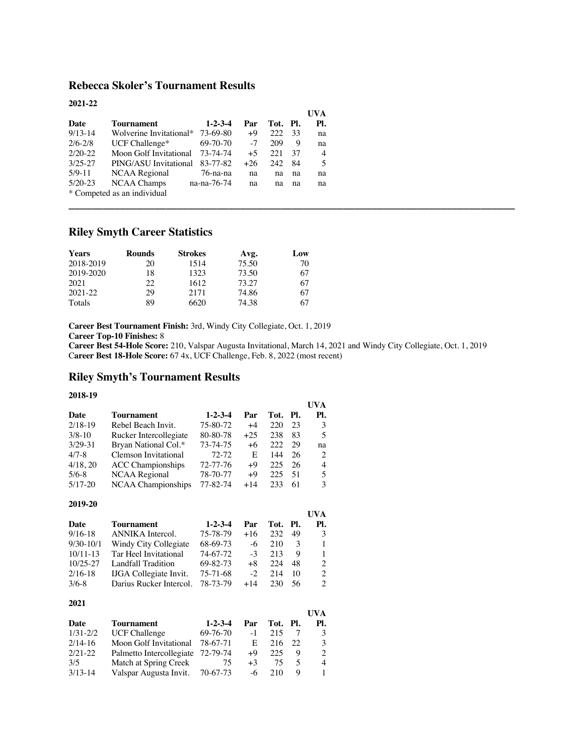# **Rebecca Skoler's Tournament Results**

| 2021-22     |                             |                 |       |          |    |                |
|-------------|-----------------------------|-----------------|-------|----------|----|----------------|
|             |                             |                 |       |          |    | UVA            |
| Date        | Tournament                  | $1 - 2 - 3 - 4$ | Par   | Tot. Pl. |    | Pl.            |
| $9/13-14$   | Wolverine Invitational*     | 73-69-80        | $+9$  | 222      | 33 | na             |
| $2/6 - 2/8$ | UCF Challenge*              | 69-70-70        | $-7$  | 209      | 9  | na             |
| $2/20-22$   | Moon Golf Invitational      | 73-74-74        | $+5$  | 22.1     | 37 | $\overline{4}$ |
| $3/25 - 27$ | PING/ASU Invitational       | 83-77-82        | $+26$ | 242      | 84 | 5              |
| $5/9 - 11$  | NCAA Regional               | 76-na-na        | na    | na       | na | na             |
| $5/20-23$   | NCAA Champs                 | na-na-76-74     | na    | na       | na | na             |
|             | * Competed as an individual |                 |       |          |    |                |

# **Riley Smyth Career Statistics**

| <b>Years</b> | <b>Rounds</b> | <b>Strokes</b> | Avg.  | Low |
|--------------|---------------|----------------|-------|-----|
| 2018-2019    | 20            | 1514           | 75.50 | 70  |
| 2019-2020    | 18            | 1323           | 73.50 | 67  |
| 2021         | 22.           | 1612           | 73.27 | 67  |
| $2021 - 22$  | 29            | 2171           | 74.86 | 67  |
| Totals       | 89            | 6620           | 74.38 | 67  |

**Career Best Tournament Finish:** 3rd, Windy City Collegiate, Oct. 1, 2019

**Career Top-10 Finishes:** 8

**Career Best 54-Hole Score:** 210, Valspar Augusta Invitational, March 14, 2021 and Windy City Collegiate, Oct. 1, 2019 C**areer Best 18-Hole Score:** 67 4x, UCF Challenge, Feb. 8, 2022 (most recent)

**UVA**

**\_\_\_\_\_\_\_\_\_\_\_\_\_\_\_\_\_\_\_\_\_\_\_\_\_\_\_\_\_\_\_\_\_\_\_\_\_\_\_\_\_\_\_\_\_\_\_\_\_\_\_\_\_\_\_\_\_\_\_\_\_\_\_\_\_\_\_\_\_\_\_\_\_\_\_\_\_\_**

# **Riley Smyth's Tournament Results**

#### **2018-19**

|             |                           |                 |       |          |     | UVA |
|-------------|---------------------------|-----------------|-------|----------|-----|-----|
| Date        | <b>Tournament</b>         | $1 - 2 - 3 - 4$ | Par   | Tot. Pl. |     | Pl. |
| $2/18-19$   | Rebel Beach Invit.        | 75-80-72        | $+4$  | 220      | 23  | 3   |
| $3/8-10$    | Rucker Intercollegiate    | 80-80-78        | $+25$ | 238      | 83  | 5   |
| $3/29 - 31$ | Bryan National Col.*      | 73-74-75        | $+6$  | 222      | 29  | na  |
| $4/7 - 8$   | Clemson Invitational      | $72 - 72$       | E     | 144      | 26  | 2   |
| 4/18, 20    | <b>ACC</b> Championships  | 72-77-76        | $+9$  | 225      | 26  | 4   |
| $5/6 - 8$   | <b>NCAA</b> Regional      | 78-70-77        | $+9$  | 225      | -51 | 5   |
| $5/17-20$   | <b>NCAA Championships</b> | 77-82-74        | $+14$ | 233      | 61  | 3   |
|             |                           |                 |       |          |     |     |

# **2019-20**

|              |                               |                 |       |          |    | UVA            |
|--------------|-------------------------------|-----------------|-------|----------|----|----------------|
| Date         | <b>Tournament</b>             | $1 - 2 - 3 - 4$ | Par   | Tot. Pl. |    | PI.            |
| $9/16-18$    | ANNIKA Intercol.              | 75-78-79        | $+16$ | 232      | 49 | 3              |
| $9/30-10/1$  | Windy City Collegiate         | 68-69-73        | -6    | 210      | 3  | 1              |
| $10/11-13$   | Tar Heel Invitational         | 74-67-72        | $-3$  | 213      | 9  | 1              |
| $10/25 - 27$ | Landfall Tradition            | 69-82-73        | $+8$  | 224      | 48 | $\mathcal{L}$  |
| $2/16-18$    | <b>IJGA</b> Collegiate Invit. | 75-71-68        | $-2$  | 214      | 10 | $\mathfrak{D}$ |
| $3/6-8$      | Darius Rucker Intercol.       | 78-73-79        | $+14$ | 230      | 56 | 2              |

## **2021**

|              |                                   |                 |      |          |     | UVA |
|--------------|-----------------------------------|-----------------|------|----------|-----|-----|
| Date         | Tournament                        | $1 - 2 - 3 - 4$ | Par  | Tot. Pl. |     | PI. |
| $1/31 - 2/2$ | <b>UCF Challenge</b>              | 69-76-70        | $-1$ | 215      |     | 3   |
| $2/14-16$    | Moon Golf Invitational            | 78-67-71        | E.   | 216      | -22 | 3   |
| $2/21 - 22$  | Palmetto Intercollegiate 72-79-74 |                 | $+9$ | 225      | 9   | 2   |
| 3/5          | Match at Spring Creek             | 75              | $+3$ | 75       |     | 4   |
| $3/13-14$    | Valspar Augusta Invit. 70-67-73   |                 | $-6$ | 210      | Q   |     |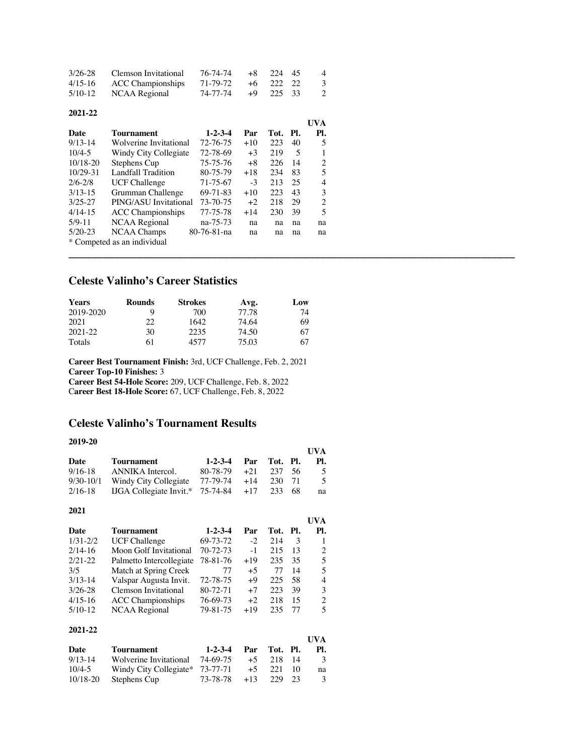| 3/26-28   | Clemson Invitational | 76-74-74 | +8 224 45 | 4 |
|-----------|----------------------|----------|-----------|---|
| $4/15-16$ | ACC Championships    | 71-79-72 | +6 222 22 | 3 |
| 5/10-12   | NCAA Regional        | 74-77-74 | +9 225 33 | 2 |

#### **2021-22**

|              |                             |                 |       |      |     | UVA |
|--------------|-----------------------------|-----------------|-------|------|-----|-----|
| Date         | Tournament                  | $1 - 2 - 3 - 4$ | Par   | Tot. | PI. | Pl. |
| $9/13 - 14$  | Wolverine Invitational      | 72-76-75        | $+10$ | 223  | 40  | 5   |
| $10/4 - 5$   | Windy City Collegiate       | 72-78-69        | $+3$  | 219  | 5   |     |
| $10/18 - 20$ | Stephens Cup                | 75-75-76        | $+8$  | 226  | 14  | 2   |
| $10/29 - 31$ | <b>Landfall Tradition</b>   | 80-75-79        | $+18$ | 234  | 83  | 5   |
| $2/6 - 2/8$  | <b>UCF Challenge</b>        | 71-75-67        | $-3$  | 213  | 25  | 4   |
| $3/13 - 15$  | Grumman Challenge           | 69-71-83        | $+10$ | 223  | 43  | 3   |
| $3/25 - 27$  | PING/ASU Invitational       | 73-70-75        | $+2$  | 218  | 29  | 2   |
| $4/14-15$    | <b>ACC</b> Championships    | 77-75-78        | $+14$ | 230  | 39  | 5   |
| $5/9 - 11$   | <b>NCAA Regional</b>        | na-75-73        | na    | na   | na  | na  |
| $5/20-23$    | <b>NCAA Champs</b>          | 80-76-81-na     | na    | na   | na  | na  |
|              | * Competed as an individual |                 |       |      |     |     |

**\_\_\_\_\_\_\_\_\_\_\_\_\_\_\_\_\_\_\_\_\_\_\_\_\_\_\_\_\_\_\_\_\_\_\_\_\_\_\_\_\_\_\_\_\_\_\_\_\_\_\_\_\_\_\_\_\_\_\_\_\_\_\_\_\_\_\_\_\_\_\_\_\_\_\_\_\_\_**

# **Celeste Valinho's Career Statistics**

| <b>Years</b> | <b>Rounds</b> | <b>Strokes</b> | Avg.  | Low |
|--------------|---------------|----------------|-------|-----|
| 2019-2020    | Q             | 700            | 77.78 | 74  |
| 2021         | 22            | 1642           | 74.64 | 69  |
| 2021-22      | 30            | 2235           | 74.50 | 67  |
| Totals       | 61            | 4577           | 75.03 | 67  |

**Career Best Tournament Finish:** 3rd, UCF Challenge, Feb. 2, 2021 **Career Top-10 Finishes:** 3 **Career Best 54-Hole Score:** 209, UCF Challenge, Feb. 8, 2022 C**areer Best 18-Hole Score:** 67, UCF Challenge, Feb. 8, 2022

# **Celeste Valinho's Tournament Results**

# **2019-20**

|              |                                |                 |       |      |     | <b>UVA</b>     |
|--------------|--------------------------------|-----------------|-------|------|-----|----------------|
| Date         | <b>Tournament</b>              | $1 - 2 - 3 - 4$ | Par   | Tot. | PI. | Pl.            |
| $9/16 - 18$  | <b>ANNIKA</b> Intercol.        | 80-78-79        | $+21$ | 237  | 56  | 5              |
| $9/30-10/1$  | Windy City Collegiate          | 77-79-74        | $+14$ | 230  | 71  | 5              |
| $2/16-18$    | <b>IJGA</b> Collegiate Invit.* | 75-74-84        | $+17$ | 233  | 68  | na             |
| 2021         |                                |                 |       |      |     |                |
|              |                                |                 |       |      |     | UVA            |
| <b>Date</b>  | <b>Tournament</b>              | $1 - 2 - 3 - 4$ | Par   | Tot. | PI. | Pl.            |
| $1/31 - 2/2$ | <b>UCF Challenge</b>           | 69-73-72        | $-2$  | 214  | 3   | 1              |
| $2/14-16$    | Moon Golf Invitational         | 70-72-73        | $-1$  | 215  | 13  | 2              |
| $2/21 - 22$  | Palmetto Intercollegiate       | 78-81-76        | $+19$ | 235  | 35  | 5              |
| 3/5          | Match at Spring Creek          | 77              | $+5$  | 77   | 14  | 5              |
| $3/13 - 14$  | Valspar Augusta Invit.         | 72-78-75        | $+9$  | 225  | 58  | $\overline{4}$ |
| $3/26 - 28$  | <b>Clemson Invitational</b>    | 80-72-71        | $+7$  | 223  | 39  | 3              |
| $4/15-16$    | <b>ACC</b> Championships       | 76-69-73        | $+2$  | 218  | 15  | $\mathbf{2}$   |
| $5/10-12$    | NCAA Regional                  | 79-81-75        | $+19$ | 235  | 77  | 5              |
| 2021-22      |                                |                 |       |      |     |                |
|              |                                |                 |       |      |     | <b>UVA</b>     |
| Date         | <b>Tournament</b>              | $1 - 2 - 3 - 4$ | Par   | Tot. | Pl. | PI.            |
| $9/13 - 14$  | Wolverine Invitational         | 74-69-75        | $+5$  | 218  | 14  | 3              |
| $10/4 - 5$   | Windy City Collegiate*         | 73-77-71        | $+5$  | 221  | 10  | na             |

10/18-20 Stephens Cup 73-78-78 +13 229 23 3